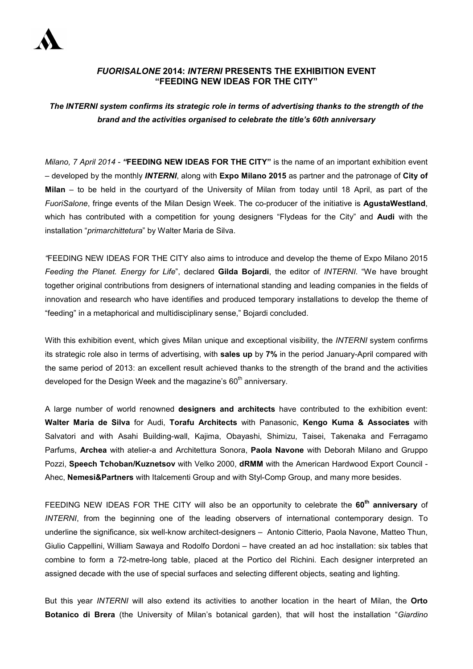

## *FUORISALONE* **2014:** *INTERNI* **PRESENTS THE EXHIBITION EVENT "FEEDING NEW IDEAS FOR THE CITY"**

*The INTERNI system confirms its strategic role in terms of advertising thanks to the strength of the brand and the activities organised to celebrate the title's 60th anniversary* 

*Milano, 7 April 2014 - "***FEEDING NEW IDEAS FOR THE CITY"** is the name of an important exhibition event – developed by the monthly *INTERNI*, along with **Expo Milano 2015** as partner and the patronage of **City of Milan** – to be held in the courtyard of the University of Milan from today until 18 April, as part of the *FuoriSalone*, fringe events of the Milan Design Week. The co-producer of the initiative is **AgustaWestland**, which has contributed with a competition for young designers "Flydeas for the City" and **Audi** with the installation "*primarchittetura*" by Walter Maria de Silva.

*"*FEEDING NEW IDEAS FOR THE CITY also aims to introduce and develop the theme of Expo Milano 2015 *Feeding the Planet. Energy for Life*", declared **Gilda Bojardi**, the editor of *INTERNI*. "We have brought together original contributions from designers of international standing and leading companies in the fields of innovation and research who have identifies and produced temporary installations to develop the theme of "feeding" in a metaphorical and multidisciplinary sense," Bojardi concluded.

With this exhibition event, which gives Milan unique and exceptional visibility, the *INTERNI* system confirms its strategic role also in terms of advertising, with **sales up** by **7%** in the period January-April compared with the same period of 2013: an excellent result achieved thanks to the strength of the brand and the activities developed for the Design Week and the magazine's  $60<sup>th</sup>$  anniversary.

A large number of world renowned **designers and architects** have contributed to the exhibition event: **Walter Maria de Silva** for Audi, **Torafu Architects** with Panasonic, **Kengo Kuma & Associates** with Salvatori and with Asahi Building-wall, Kajima, Obayashi, Shimizu, Taisei, Takenaka and Ferragamo Parfums, **Archea** with atelier-a and Architettura Sonora, **Paola Navone** with Deborah Milano and Gruppo Pozzi, **Speech Tchoban/Kuznetsov** with Velko 2000, **dRMM** with the American Hardwood Export Council - Ahec, **Nemesi&Partners** with Italcementi Group and with Styl-Comp Group, and many more besides.

FEEDING NEW IDEAS FOR THE CITY will also be an opportunity to celebrate the **60th anniversary** of *INTERNI*, from the beginning one of the leading observers of international contemporary design. To underline the significance, six well-know architect-designers – Antonio Citterio, Paola Navone, Matteo Thun, Giulio Cappellini, William Sawaya and Rodolfo Dordoni – have created an ad hoc installation: six tables that combine to form a 72-metre-long table, placed at the Portico del Richini. Each designer interpreted an assigned decade with the use of special surfaces and selecting different objects, seating and lighting.

But this year *INTERNI* will also extend its activities to another location in the heart of Milan, the **Orto Botanico di Brera** (the University of Milan's botanical garden), that will host the installation "*Giardino*